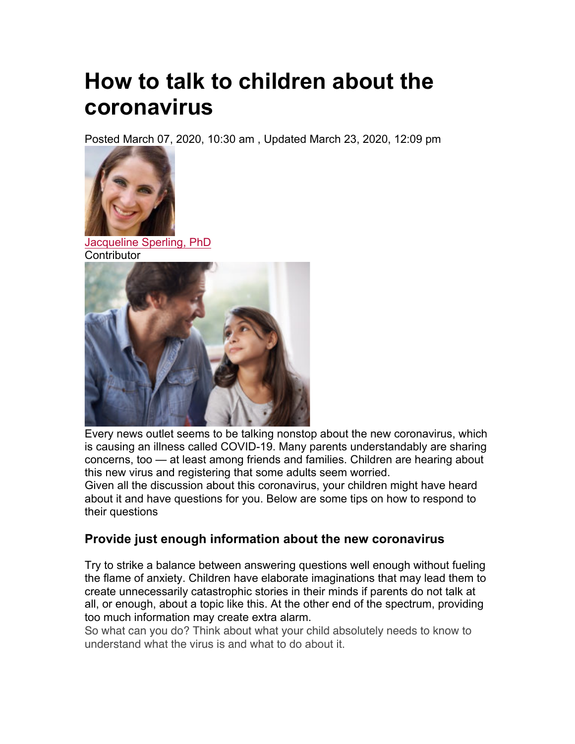# **How to talk to children about the coronavirus**

Posted March 07, 2020, 10:30 am , Updated March 23, 2020, 12:09 pm



Jacqueline Sperling, PhD **Contributor** 



Every news outlet seems to be talking nonstop about the new coronavirus, which is causing an illness called COVID-19. Many parents understandably are sharing concerns, too — at least among friends and families. Children are hearing about this new virus and registering that some adults seem worried.

Given all the discussion about this coronavirus, your children might have heard about it and have questions for you. Below are some tips on how to respond to their questions

#### **Provide just enough information about the new coronavirus**

Try to strike a balance between answering questions well enough without fueling the flame of anxiety. Children have elaborate imaginations that may lead them to create unnecessarily catastrophic stories in their minds if parents do not talk at all, or enough, about a topic like this. At the other end of the spectrum, providing too much information may create extra alarm.

So what can you do? Think about what your child absolutely needs to know to understand what the virus is and what to do about it.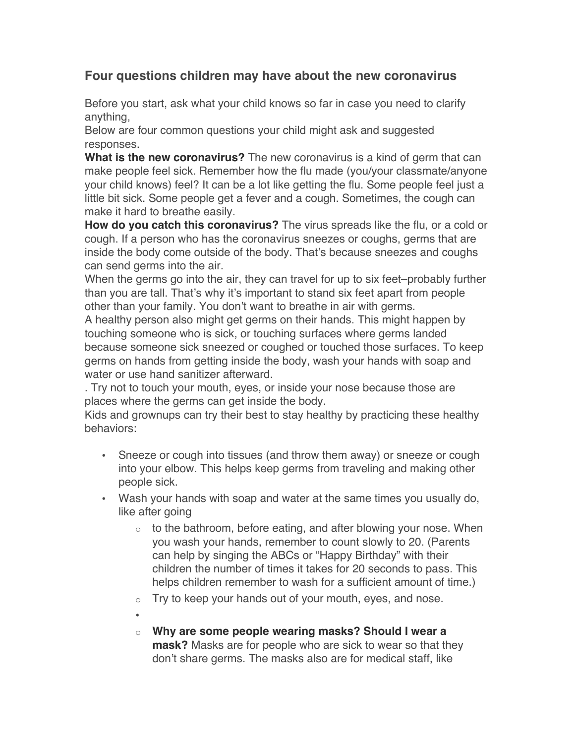## **Four questions children may have about the new coronavirus**

Before you start, ask what your child knows so far in case you need to clarify anything,

Below are four common questions your child might ask and suggested responses.

**What is the new coronavirus?** The new coronavirus is a kind of germ that can make people feel sick. Remember how the flu made (you/your classmate/anyone your child knows) feel? It can be a lot like getting the flu. Some people feel just a little bit sick. Some people get a fever and a cough. Sometimes, the cough can make it hard to breathe easily.

**How do you catch this coronavirus?** The virus spreads like the flu, or a cold or cough. If a person who has the coronavirus sneezes or coughs, germs that are inside the body come outside of the body. That's because sneezes and coughs can send germs into the air.

When the germs go into the air, they can travel for up to six feet–probably further than you are tall. That's why it's important to stand six feet apart from people other than your family. You don't want to breathe in air with germs.

A healthy person also might get germs on their hands. This might happen by touching someone who is sick, or touching surfaces where germs landed because someone sick sneezed or coughed or touched those surfaces. To keep germs on hands from getting inside the body, wash your hands with soap and water or use hand sanitizer afterward.

. Try not to touch your mouth, eyes, or inside your nose because those are places where the germs can get inside the body.

Kids and grownups can try their best to stay healthy by practicing these healthy behaviors:

- Sneeze or cough into tissues (and throw them away) or sneeze or cough into your elbow. This helps keep germs from traveling and making other people sick.
- Wash your hands with soap and water at the same times you usually do, like after going
	- $\circ$  to the bathroom, before eating, and after blowing your nose. When you wash your hands, remember to count slowly to 20. (Parents can help by singing the ABCs or "Happy Birthday" with their children the number of times it takes for 20 seconds to pass. This helps children remember to wash for a sufficient amount of time.)
	- $\circ$  Try to keep your hands out of your mouth, eyes, and nose.
	- •
	- o **Why are some people wearing masks? Should I wear a mask?** Masks are for people who are sick to wear so that they don't share germs. The masks also are for medical staff, like